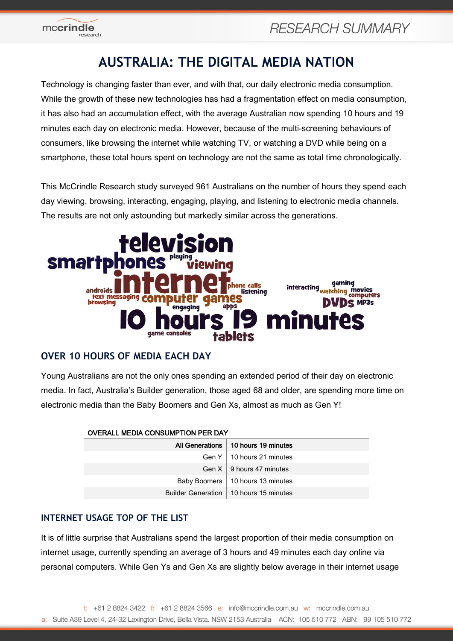

# **AUSTRALIA: THE DIGITAL MEDIA NATION**

Technology is changing faster than ever, and with that, our daily electronic media consumption. While the growth of these new technologies has had a fragmentation effect on media consumption, it has also had an accumulation effect, with the average Australian now spending 10 hours and 19 minutes each day on electronic media. However, because of the multi-screening behaviours of consumers, like browsing the internet while watching TV, or watching a DVD while being on a smartphone, these total hours spent on technology are not the same as total time chronologically.

This McCrindle Research study surveyed 961 Australians on the number of hours they spend each day viewing, browsing, interacting, engaging, playing, and listening to electronic media channels. The results are not only astounding but markedly similar across the generations.



# **OVER 10 HOURS OF MEDIA EACH DAY**

Young Australians are not the only ones spending an extended period of their day on electronic media. In fact, Australia's Builder generation, those aged 68 and older, are spending more time on electronic media than the Baby Boomers and Gen Xs, almost as much as Gen Y!

| <b>OVERALL MEDIA CONSUMPTION PER DAY</b> |                                          |  |  |
|------------------------------------------|------------------------------------------|--|--|
|                                          | All Generations   10 hours 19 minutes    |  |  |
|                                          | Gen $Y \perp 10$ hours 21 minutes        |  |  |
|                                          | Gen $X \perp 9$ hours 47 minutes         |  |  |
|                                          | Baby Boomers   10 hours 13 minutes       |  |  |
|                                          | Builder Generation   10 hours 15 minutes |  |  |

# **INTERNET USAGE TOP OF THE LIST**

It is of little surprise that Australians spend the largest proportion of their media consumption on internet usage, currently spending an average of 3 hours and 49 minutes each day online via personal computers. While Gen Ys and Gen Xs are slightly below average in their internet usage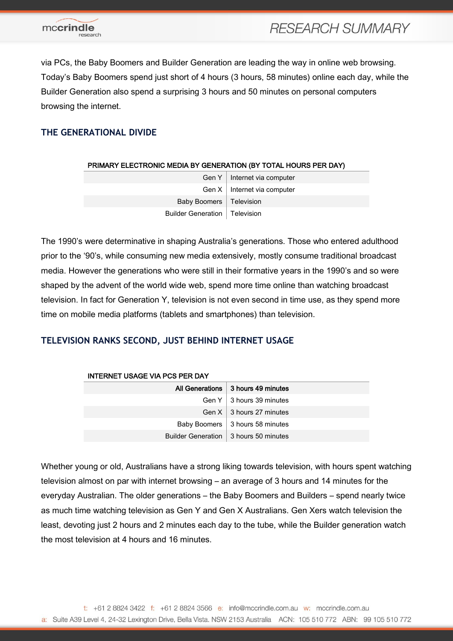

via PCs, the Baby Boomers and Builder Generation are leading the way in online web browsing. Today's Baby Boomers spend just short of 4 hours (3 hours, 58 minutes) online each day, while the Builder Generation also spend a surprising 3 hours and 50 minutes on personal computers browsing the internet.

## **THE GENERATIONAL DIVIDE**

| PRIMARY ELECTRONIC MEDIA BY GENERATION (BY TOTAL HOURS PER DAY) |                                 |  |  |
|-----------------------------------------------------------------|---------------------------------|--|--|
|                                                                 | Gen $Y$   Internet via computer |  |  |
|                                                                 | Gen $X$   Internet via computer |  |  |
| Baby Boomers   Television                                       |                                 |  |  |
| Builder Generation   Television                                 |                                 |  |  |

The 1990's were determinative in shaping Australia's generations. Those who entered adulthood prior to the '90's, while consuming new media extensively, mostly consume traditional broadcast media. However the generations who were still in their formative years in the 1990's and so were shaped by the advent of the world wide web, spend more time online than watching broadcast television. In fact for Generation Y, television is not even second in time use, as they spend more time on mobile media platforms (tablets and smartphones) than television.

## **TELEVISION RANKS SECOND, JUST BEHIND INTERNET USAGE**

| <b>INTERNET USAGE VIA PCS PER DAY</b> |                                         |  |  |
|---------------------------------------|-----------------------------------------|--|--|
|                                       | All Generations   3 hours 49 minutes    |  |  |
|                                       | Gen $Y \perp 3$ hours 39 minutes        |  |  |
|                                       | Gen $X \perp 3$ hours 27 minutes        |  |  |
|                                       | Baby Boomers   3 hours 58 minutes       |  |  |
|                                       | Builder Generation   3 hours 50 minutes |  |  |

Whether young or old, Australians have a strong liking towards television, with hours spent watching television almost on par with internet browsing – an average of 3 hours and 14 minutes for the everyday Australian. The older generations – the Baby Boomers and Builders – spend nearly twice as much time watching television as Gen Y and Gen X Australians. Gen Xers watch television the least, devoting just 2 hours and 2 minutes each day to the tube, while the Builder generation watch the most television at 4 hours and 16 minutes.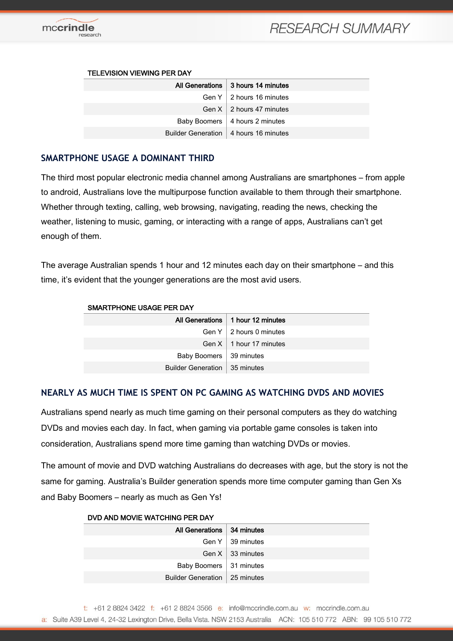

# **RESEARCH SUMMARY**

#### TELEVISION VIEWING PER DAY

| All Generations 3 hours 14 minutes      |
|-----------------------------------------|
| Gen $Y \mid 2$ hours 16 minutes         |
| Gen $X \mid 2$ hours 47 minutes         |
| Baby Boomers   4 hours 2 minutes        |
| Builder Generation   4 hours 16 minutes |

### **SMARTPHONE USAGE A DOMINANT THIRD**

The third most popular electronic media channel among Australians are smartphones – from apple to android, Australians love the multipurpose function available to them through their smartphone. Whether through texting, calling, web browsing, navigating, reading the news, checking the weather, listening to music, gaming, or interacting with a range of apps, Australians can't get enough of them.

The average Australian spends 1 hour and 12 minutes each day on their smartphone – and this time, it's evident that the younger generations are the most avid users.

| SMARTPHONE USAGE PER DAY        |                                     |  |  |
|---------------------------------|-------------------------------------|--|--|
|                                 | All Generations   1 hour 12 minutes |  |  |
|                                 | Gen $Y \mid 2$ hours 0 minutes      |  |  |
|                                 | Gen $X \perp 1$ hour 17 minutes     |  |  |
| Baby Boomers   39 minutes       |                                     |  |  |
| Builder Generation   35 minutes |                                     |  |  |

## **NEARLY AS MUCH TIME IS SPENT ON PC GAMING AS WATCHING DVDS AND MOVIES**

Australians spend nearly as much time gaming on their personal computers as they do watching DVDs and movies each day. In fact, when gaming via portable game consoles is taken into consideration, Australians spend more time gaming than watching DVDs or movies.

The amount of movie and DVD watching Australians do decreases with age, but the story is not the same for gaming. Australia's Builder generation spends more time computer gaming than Gen Xs and Baby Boomers – nearly as much as Gen Ys!

| DVD AND MOVIE WATCHING PER DAY  |                         |  |  |
|---------------------------------|-------------------------|--|--|
| All Generations   34 minutes    |                         |  |  |
|                                 | Gen $Y \mid 39$ minutes |  |  |
|                                 | Gen $X \mid 33$ minutes |  |  |
| Baby Boomers   31 minutes       |                         |  |  |
| Builder Generation   25 minutes |                         |  |  |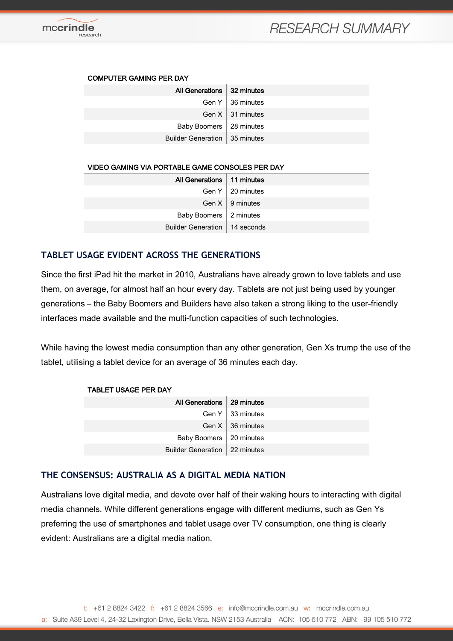#### COMPUTER GAMING PER DAY

| All Generations   32 minutes    |                    |
|---------------------------------|--------------------|
|                                 | Gen $Y$ 36 minutes |
|                                 | Gen $X$ 31 minutes |
| Baby Boomers   28 minutes       |                    |
| Builder Generation   35 minutes |                    |
|                                 |                    |

#### VIDEO GAMING VIA PORTABLE GAME CONSOLES PER DAY

| All Generations   11 minutes    |                         |
|---------------------------------|-------------------------|
|                                 | Gen $Y \mid 20$ minutes |
|                                 | Gen $X \mid 9$ minutes  |
| Baby Boomers   2 minutes        |                         |
| Builder Generation   14 seconds |                         |
|                                 |                         |

## **TABLET USAGE EVIDENT ACROSS THE GENERATIONS**

Since the first iPad hit the market in 2010, Australians have already grown to love tablets and use them, on average, for almost half an hour every day. Tablets are not just being used by younger generations – the Baby Boomers and Builders have also taken a strong liking to the user-friendly interfaces made available and the multi-function capacities of such technologies.

While having the lowest media consumption than any other generation, Gen Xs trump the use of the tablet, utilising a tablet device for an average of 36 minutes each day.

| <b>TABLET USAGE PER DAY</b>     |                         |  |  |
|---------------------------------|-------------------------|--|--|
| All Generations   29 minutes    |                         |  |  |
|                                 | Gen $Y$   33 minutes    |  |  |
|                                 | Gen $X \mid 36$ minutes |  |  |
| Baby Boomers   20 minutes       |                         |  |  |
| Builder Generation   22 minutes |                         |  |  |

### **THE CONSENSUS: AUSTRALIA AS A DIGITAL MEDIA NATION**

Australians love digital media, and devote over half of their waking hours to interacting with digital media channels. While different generations engage with different mediums, such as Gen Ys preferring the use of smartphones and tablet usage over TV consumption, one thing is clearly evident: Australians are a digital media nation.